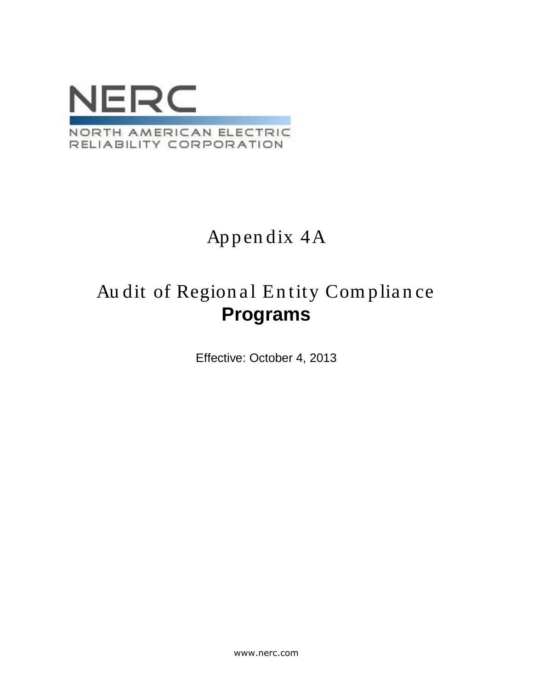

# Appendix 4A

# Audit of Regional Entity Compliance **Programs**

Effective: October 4, 2013

www.nerc.com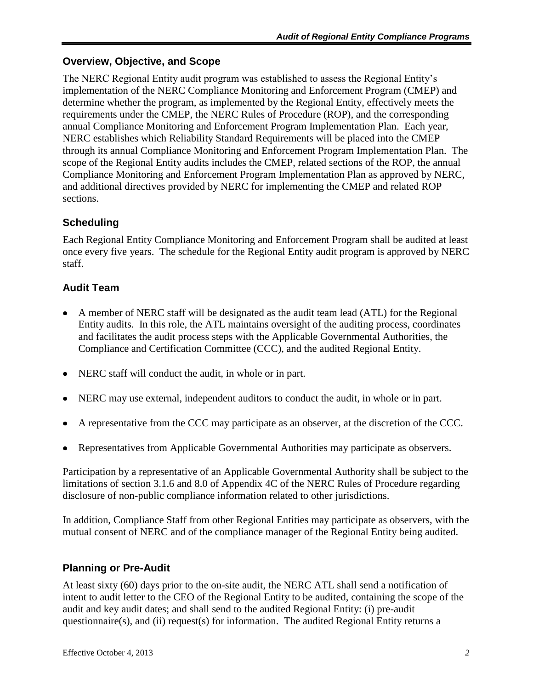#### **Overview, Objective, and Scope**

The NERC Regional Entity audit program was established to assess the Regional Entity's implementation of the NERC Compliance Monitoring and Enforcement Program (CMEP) and determine whether the program, as implemented by the Regional Entity, effectively meets the requirements under the CMEP, the NERC Rules of Procedure (ROP), and the corresponding annual Compliance Monitoring and Enforcement Program Implementation Plan. Each year, NERC establishes which Reliability Standard Requirements will be placed into the CMEP through its annual Compliance Monitoring and Enforcement Program Implementation Plan. The scope of the Regional Entity audits includes the CMEP, related sections of the ROP, the annual Compliance Monitoring and Enforcement Program Implementation Plan as approved by NERC, and additional directives provided by NERC for implementing the CMEP and related ROP sections.

## **Scheduling**

Each Regional Entity Compliance Monitoring and Enforcement Program shall be audited at least once every five years. The schedule for the Regional Entity audit program is approved by NERC staff.

### **Audit Team**

- A member of NERC staff will be designated as the audit team lead (ATL) for the Regional Entity audits. In this role, the ATL maintains oversight of the auditing process, coordinates and facilitates the audit process steps with the Applicable Governmental Authorities, the Compliance and Certification Committee (CCC), and the audited Regional Entity.
- NERC staff will conduct the audit, in whole or in part.
- NERC may use external, independent auditors to conduct the audit, in whole or in part.
- A representative from the CCC may participate as an observer, at the discretion of the CCC.
- Representatives from Applicable Governmental Authorities may participate as observers.  $\bullet$

Participation by a representative of an Applicable Governmental Authority shall be subject to the limitations of section 3.1.6 and 8.0 of Appendix 4C of the NERC Rules of Procedure regarding disclosure of non-public compliance information related to other jurisdictions.

In addition, Compliance Staff from other Regional Entities may participate as observers, with the mutual consent of NERC and of the compliance manager of the Regional Entity being audited.

#### **Planning or Pre-Audit**

At least sixty (60) days prior to the on-site audit, the NERC ATL shall send a notification of intent to audit letter to the CEO of the Regional Entity to be audited, containing the scope of the audit and key audit dates; and shall send to the audited Regional Entity: (i) pre-audit questionnaire(s), and (ii) request(s) for information. The audited Regional Entity returns a